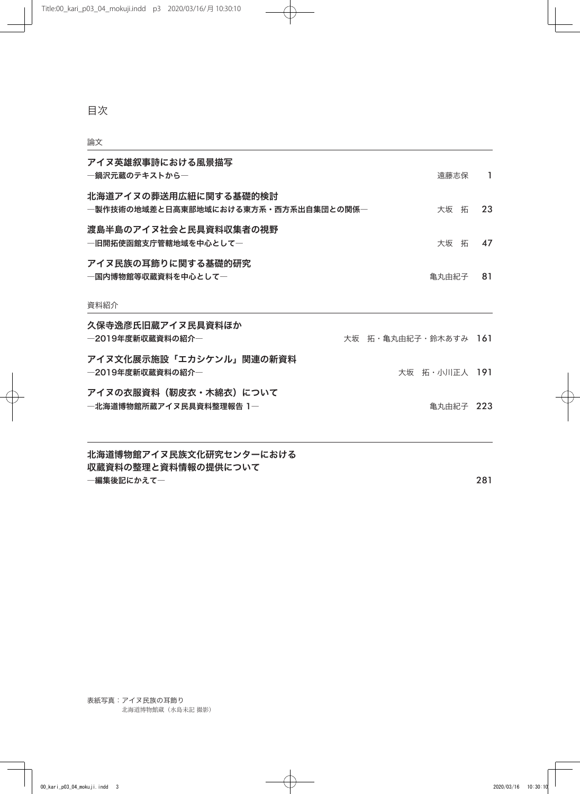目次

## 論文

| アイヌ英雄叙事詩における風景描写<br>―鍋沢元蔵のテキストから―                             |                      | 遠藤志保          | $\mathbf{1}$ |
|---------------------------------------------------------------|----------------------|---------------|--------------|
| 北海道アイヌの葬送用広紐に関する基礎的検討<br>―製作技術の地域差と日高東部地域における東方系・西方系出自集団との関係― |                      | 大坂 拓          | 23           |
| 渡島半島のアイヌ社会と民具資料収集者の視野<br>―旧開拓使函館支庁管轄地域を中心として―                 |                      | 大坂 拓          | 47           |
| アイヌ民族の耳飾りに関する基礎的研究<br>―国内博物館等収蔵資料を中心として―                      |                      | 亀丸由紀子         | 81           |
| 資料紹介                                                          |                      |               |              |
| 久保寺逸彦氏旧蔵アイヌ民具資料ほか<br>―2019年度新収蔵資料の紹介―                         | 大坂 拓・亀丸由紀子・鈴木あすみ 161 |               |              |
| アイヌ文化展示施設「エカシケンル」関連の新資料<br>―2019年度新収蔵資料の紹介―                   |                      | 大坂 拓・小川正人 191 |              |
| アイヌの衣服資料(靭皮衣・木綿衣)について<br>―北海道博物館所蔵アイヌ民具資料整理報告 1―              |                      | 亀丸由紀子 223     |              |
|                                                               |                      |               |              |

北海道博物館アイヌ民族文化研究センターにおける 収蔵資料の整理と資料情報の提供について ―編集後記にかえて― いっちょう しょうしょう しょうしょう しょうしょう しょうしゅん こうしゅう 281